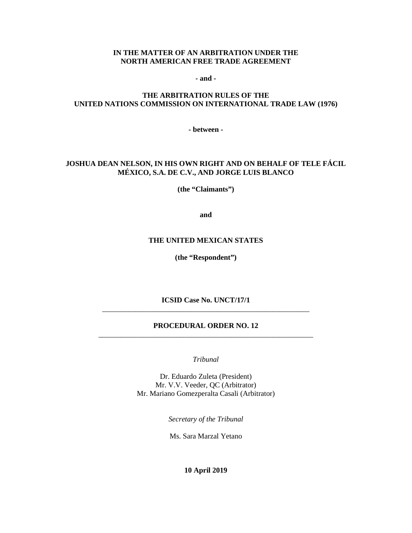#### **IN THE MATTER OF AN ARBITRATION UNDER THE NORTH AMERICAN FREE TRADE AGREEMENT**

**- and -**

#### **THE ARBITRATION RULES OF THE UNITED NATIONS COMMISSION ON INTERNATIONAL TRADE LAW (1976)**

**- between -**

#### **JOSHUA DEAN NELSON, IN HIS OWN RIGHT AND ON BEHALF OF TELE FÁCIL MÉXICO, S.A. DE C.V., AND JORGE LUIS BLANCO**

**(the "Claimants")**

**and**

#### **THE UNITED MEXICAN STATES**

**(the "Respondent")**

**ICSID Case No. UNCT/17/1** \_\_\_\_\_\_\_\_\_\_\_\_\_\_\_\_\_\_\_\_\_\_\_\_\_\_\_\_\_\_\_\_\_\_\_\_\_\_\_\_\_\_\_\_\_\_\_\_\_\_\_\_\_\_\_\_

#### **PROCEDURAL ORDER NO. 12** \_\_\_\_\_\_\_\_\_\_\_\_\_\_\_\_\_\_\_\_\_\_\_\_\_\_\_\_\_\_\_\_\_\_\_\_\_\_\_\_\_\_\_\_\_\_\_\_\_\_\_\_\_\_\_\_\_\_

*Tribunal*

Dr. Eduardo Zuleta (President) Mr. V.V. Veeder, QC (Arbitrator) Mr. Mariano Gomezperalta Casali (Arbitrator)

*Secretary of the Tribunal*

Ms. Sara Marzal Yetano

**10 April 2019**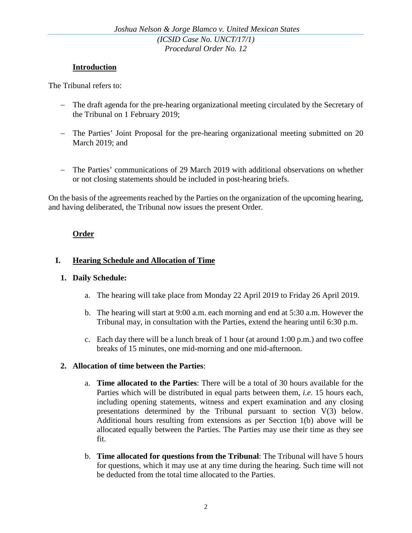### **Introduction**

The Tribunal refers to:

- − The draft agenda for the pre-hearing organizational meeting circulated by the Secretary of the Tribunal on 1 February 2019;
- − The Parties' Joint Proposal for the pre-hearing organizational meeting submitted on 20 March 2019; and
- − The Parties' communications of 29 March 2019 with additional observations on whether or not closing statements should be included in post-hearing briefs.

On the basis of the agreements reached by the Parties on the organization of the upcoming hearing, and having deliberated, the Tribunal now issues the present Order.

# **Order**

# **I. Hearing Schedule and Allocation of Time**

### **1. Daily Schedule:**

- a. The hearing will take place from Monday 22 April 2019 to Friday 26 April 2019.
- b. The hearing will start at 9:00 a.m. each morning and end at 5:30 a.m. However the Tribunal may, in consultation with the Parties, extend the hearing until 6:30 p.m.
- c. Each day there will be a lunch break of 1 hour (at around 1:00 p.m.) and two coffee breaks of 15 minutes, one mid-morning and one mid-afternoon.

### **2. Allocation of time between the Parties**:

- a. **Time allocated to the Parties**: There will be a total of 30 hours available for the Parties which will be distributed in equal parts between them, *i.e*. 15 hours each, including opening statements, witness and expert examination and any closing presentations determined by the Tribunal pursuant to section V(3) below. Additional hours resulting from extensions as per Secction 1(b) above will be allocated equally between the Parties. The Parties may use their time as they see fit.
- b. **Time allocated for questions from the Tribunal**: The Tribunal will have 5 hours for questions, which it may use at any time during the hearing. Such time will not be deducted from the total time allocated to the Parties.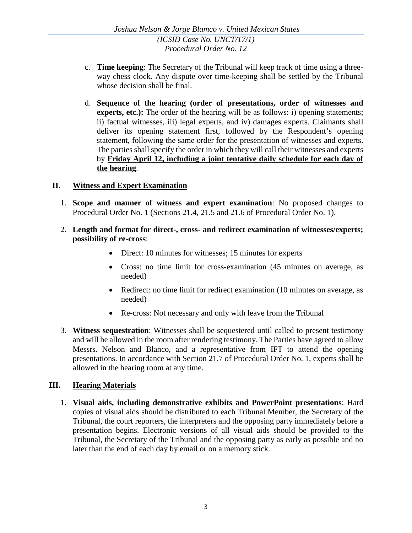- c. **Time keeping**: The Secretary of the Tribunal will keep track of time using a threeway chess clock. Any dispute over time-keeping shall be settled by the Tribunal whose decision shall be final.
- d. **Sequence of the hearing (order of presentations, order of witnesses and experts, etc.):** The order of the hearing will be as follows: i) opening statements; ii) factual witnesses, iii) legal experts, and iv) damages experts. Claimants shall deliver its opening statement first, followed by the Respondent's opening statement, following the same order for the presentation of witnesses and experts. The parties shall specify the order in which they will call their witnesses and experts by **Friday April 12, including a joint tentative daily schedule for each day of the hearing**.

## **II. Witness and Expert Examination**

- 1. **Scope and manner of witness and expert examination**: No proposed changes to Procedural Order No. 1 (Sections 21.4, 21.5 and 21.6 of Procedural Order No. 1).
- 2. **Length and format for direct-, cross- and redirect examination of witnesses/experts; possibility of re-cross**:
	- Direct: 10 minutes for witnesses; 15 minutes for experts
	- Cross: no time limit for cross-examination (45 minutes on average, as needed)
	- Redirect: no time limit for redirect examination (10 minutes on average, as needed)
	- Re-cross: Not necessary and only with leave from the Tribunal
- 3. **Witness sequestration**: Witnesses shall be sequestered until called to present testimony and will be allowed in the room after rendering testimony. The Parties have agreed to allow Messrs. Nelson and Blanco, and a representative from IFT to attend the opening presentations. In accordance with Section 21.7 of Procedural Order No. 1, experts shall be allowed in the hearing room at any time.

# **III. Hearing Materials**

1. **Visual aids, including demonstrative exhibits and PowerPoint presentations**: Hard copies of visual aids should be distributed to each Tribunal Member, the Secretary of the Tribunal, the court reporters, the interpreters and the opposing party immediately before a presentation begins. Electronic versions of all visual aids should be provided to the Tribunal, the Secretary of the Tribunal and the opposing party as early as possible and no later than the end of each day by email or on a memory stick.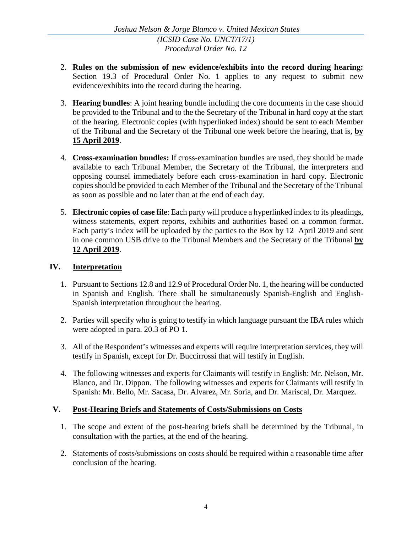- 2. **Rules on the submission of new evidence/exhibits into the record during hearing:**  Section 19.3 of Procedural Order No. 1 applies to any request to submit new evidence/exhibits into the record during the hearing.
- 3. **Hearing bundles**: A joint hearing bundle including the core documents in the case should be provided to the Tribunal and to the the Secretary of the Tribunal in hard copy at the start of the hearing. Electronic copies (with hyperlinked index) should be sent to each Member of the Tribunal and the Secretary of the Tribunal one week before the hearing, that is, **by 15 April 2019**.
- 4. **Cross-examination bundles:** If cross-examination bundles are used, they should be made available to each Tribunal Member, the Secretary of the Tribunal, the interpreters and opposing counsel immediately before each cross-examination in hard copy. Electronic copies should be provided to each Member of the Tribunal and the Secretary of the Tribunal as soon as possible and no later than at the end of each day.
- 5. **Electronic copies of case file**: Each party will produce a hyperlinked index to its pleadings, witness statements, expert reports, exhibits and authorities based on a common format. Each party's index will be uploaded by the parties to the Box by 12 April 2019 and sent in one common USB drive to the Tribunal Members and the Secretary of the Tribunal **by 12 April 2019**.

### **IV. Interpretation**

- 1. Pursuant to Sections 12.8 and 12.9 of Procedural Order No. 1, the hearing will be conducted in Spanish and English. There shall be simultaneously Spanish-English and English-Spanish interpretation throughout the hearing.
- 2. Parties will specify who is going to testify in which language pursuant the IBA rules which were adopted in para. 20.3 of PO 1.
- 3. All of the Respondent's witnesses and experts will require interpretation services, they will testify in Spanish, except for Dr. Buccirrossi that will testify in English.
- 4. The following witnesses and experts for Claimants will testify in English: Mr. Nelson, Mr. Blanco, and Dr. Dippon. The following witnesses and experts for Claimants will testify in Spanish: Mr. Bello, Mr. Sacasa, Dr. Alvarez, Mr. Soria, and Dr. Mariscal, Dr. Marquez.

# **V. Post-Hearing Briefs and Statements of Costs/Submissions on Costs**

- 1. The scope and extent of the post-hearing briefs shall be determined by the Tribunal, in consultation with the parties, at the end of the hearing.
- 2. Statements of costs/submissions on costs should be required within a reasonable time after conclusion of the hearing.